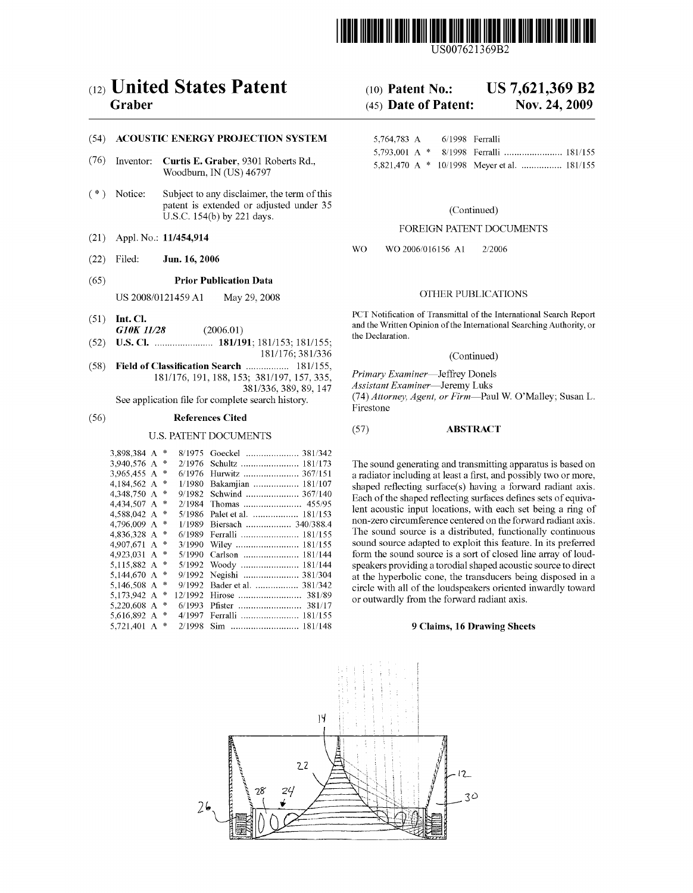

USOO7621369B2

# (12) United States Patent (10) Patent No.: US 7,621,369 B2<br>Graber (45) Date of Patent: Nov. 24, 2009

### (54) ACOUSTIC ENERGY PROJECTION SYSTEM

- (76) Inventor: Curtis E. Graber, 9301 Roberts Rd., 5,821,470 A \* 10/1998 Meyer et al. ................ 181,155 Woodburn, IN (US) 46797
- (\*) Notice: Subject to any disclaimer, the term of this patent is extended or adjusted under 35 (Continued) U.S.C. 154(b) by 221 days.
- Appl. No.: 11/454,914
- (22) Filed: Jun. 16, 2006

#### (65) Prior Publication Data

US 2008/0121459 A1 May 29, 2008 OTHER PUBLICATIONS

- 
- (52) U.S. Cl. ....................... 181/191; 181/153; 181/155;
- 181/ 176; 381/336 (Continued) (58) Field of Classification Search ................. 181/155, 181/176, 191, 188, 153: 381/197, 157,335. Primary Examiner Jeffrey Donels

See application file for complete search history.

### (56) References Cited

| 3.898.384 A |              | 啄             | 8/1975  | 381/342<br>Goeckel      |
|-------------|--------------|---------------|---------|-------------------------|
| 3.940.576 A |              | 永             | 2/1976  | 181/173<br>Schultz      |
| 3.965.455 A |              | 啄             | 6/1976  | 367/151<br>Hurwitz      |
| 4.184.562 A |              | 永             | 1/1980  | 181/107<br>Bakamjian    |
| 4.348.750 A |              | 舉             | 9/1982  | Schwind  367/140        |
| 4,434,507 A |              | 申             | 2/1984  |                         |
| 4.588.042 A |              | 永             | 5/1986  | Palet et al.  181/153   |
| 4,796,009 A |              | 申             | 1/1989  | Biersach  340/388.4     |
| 4,836,328 A |              | 咏             | 6/1989  | Ferralli<br>181/155     |
| 4.907.671   | A            | 申             | 3/1990  | Wiley<br>181/155        |
| 4,923,031   | $\mathbf{A}$ | 永             | 5/1990  | Carlson<br>181/144      |
| 5.115.882 A |              | $\frac{1}{2}$ | 5/1992  | Woody<br>181/144        |
| 5.144.670 A |              | 永             | 9/1992  | Negishi<br>381/304      |
| 5.146.508 A |              | $\frac{1}{2}$ | 9/1992  | 381/342<br>Bader et al. |
| 5,173,942 A |              | 永             | 12/1992 | 381/89<br>Hirose        |
| 5,220,608 A |              | 申             | 6/1993  | 381/17<br>Pfister       |
| 5.616.892 A |              | 永             | 4/1997  | 181/155<br>Ferralli     |
| 5.721.401 A |              | 咏             | 2/1998  | 181/148<br>Sim          |

| 5,764,783 A |  | 6/1998 Ferralli |                                     |         |
|-------------|--|-----------------|-------------------------------------|---------|
|             |  |                 |                                     |         |
|             |  |                 | 5.921.470 A * 10/1009 Mexican at al | 101/155 |

# (21) Appl. No.: 11/454,914 FOREIGN PATENT DOCUMENTS

WO WO 2006/016156 A1 2/2006

 $(45)$  Date of Patent:

(51) Int. Cl. PCT Notification of Transmittal of the International Search Report and the Written Opinion of the International Searching Authority, or the Declaration.

Assistant Examiner—Jeremy Luks<br>(74) Attorney, Agent, or Firm—Paul W. O'Malley; Susan L. Firestone

## U.S. PATENT DOCUMENTS (57) ABSTRACT

The sound generating and transmitting apparatus is based on a radiator including at least a first, and possibly two or more, shaped reflecting surface(s) having a forward radiant axis.<br>Each of the shaped reflecting surfaces defines sets of equivalent acoustic input locations, with each set being a ring of non-zero circumference centered on the forward radiant axis. The sound source is a distributed, functionally continuous sound source adapted to exploit this feature. In its preferred form the sound source is a sort of closed line array of loudspeakers providing a torodial shaped acoustic source to direct at the hyperbolic cone, the transducers being disposed in a circle with all of the loudspeakers oriented inwardly toward or outwardly from the forward radiant axis.

#### 9 Claims, 16 Drawing Sheets

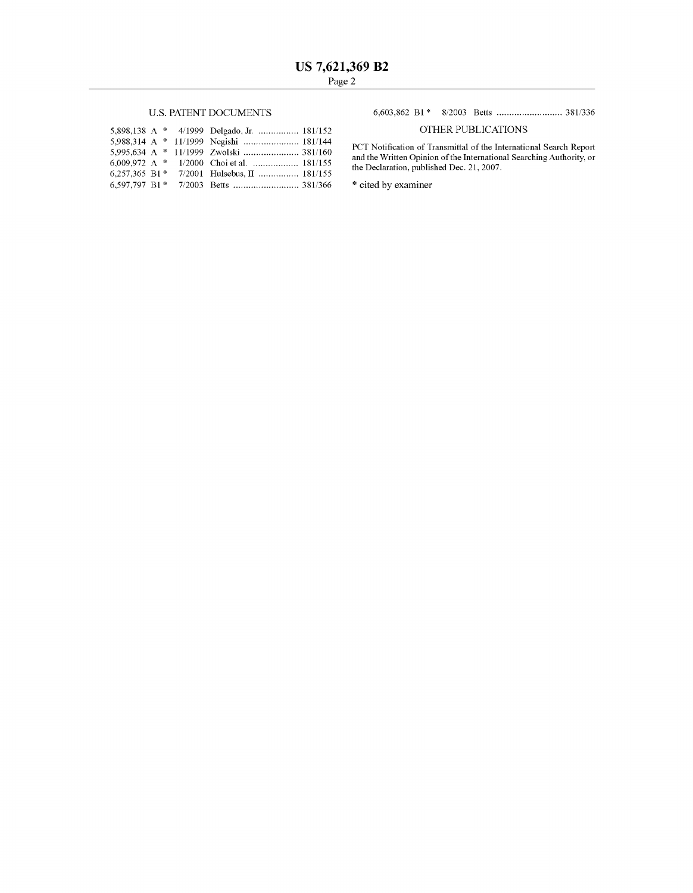|  |  | 5,898,138 A * 4/1999 Delgado, Jr.  181/152  |  |
|--|--|---------------------------------------------|--|
|  |  | 5.988,314 A * 11/1999 Negishi  181/144      |  |
|  |  |                                             |  |
|  |  | 6.009.972 A * 1/2000 Choi et al.  181/155   |  |
|  |  | 6,257,365 B1 * 7/2001 Hulsebus, II  181/155 |  |
|  |  |                                             |  |

U.S. PATENT DOCUMENTS 6,603,862 B1 8/2003 Betts .......................... 381,336

### OTHER PUBLICATIONS

PCT Notification of Transmittal of the International Search Report<br>and the Written Opinion of the International Searching Authority, or<br>the Declaration, published Dec. 21, 2007.

 $*$  cited by examiner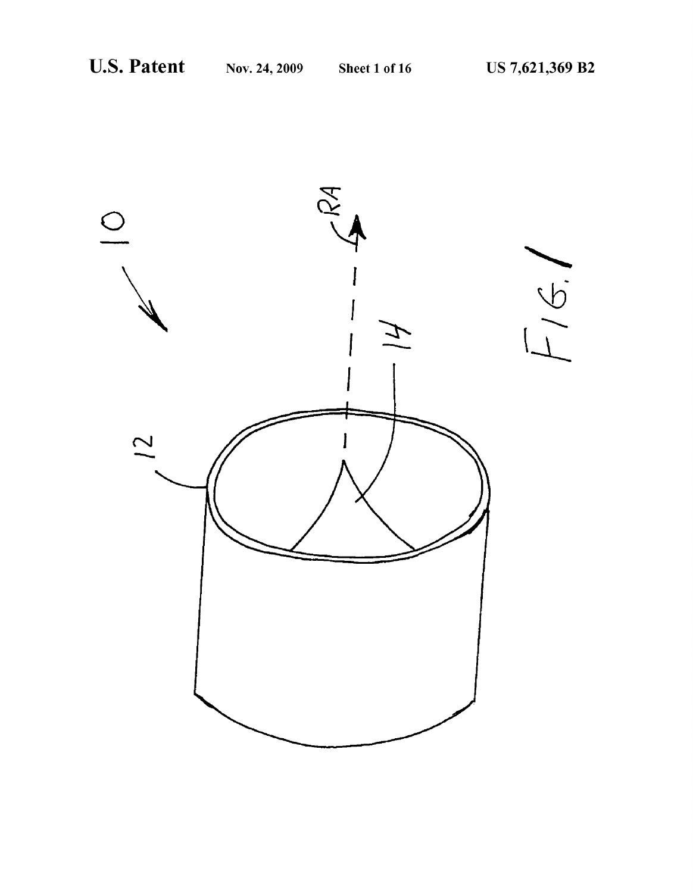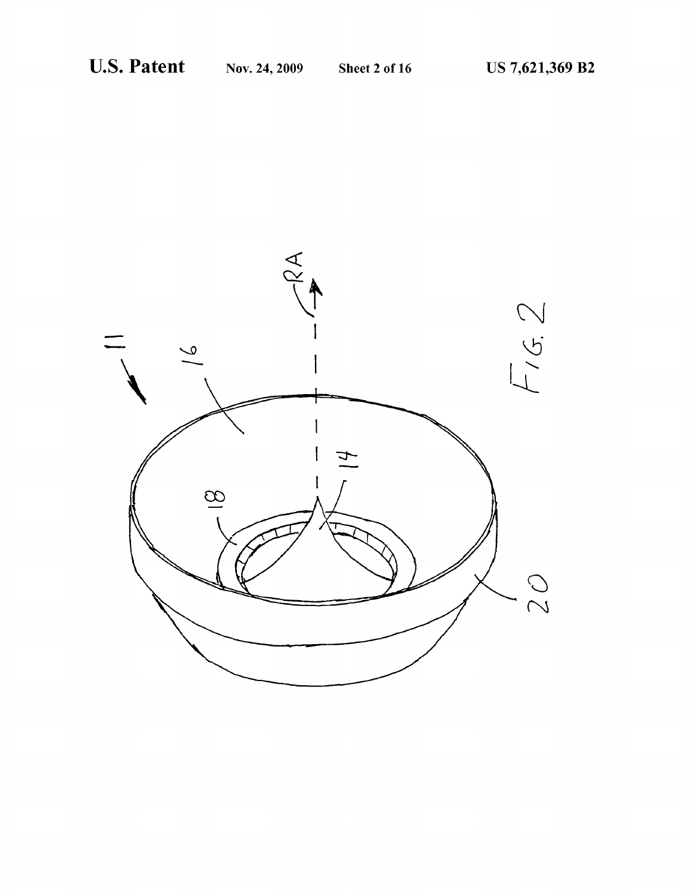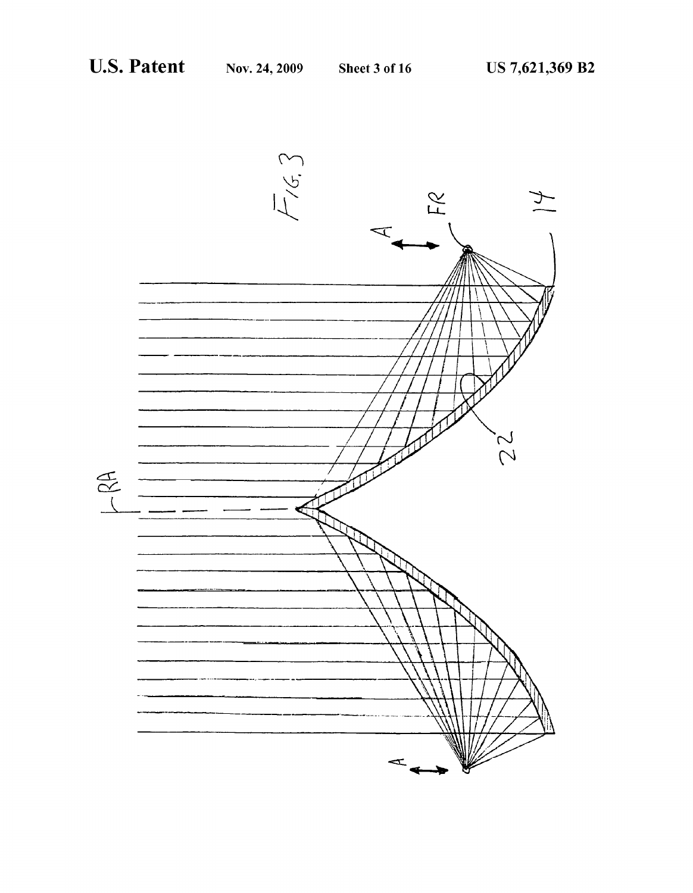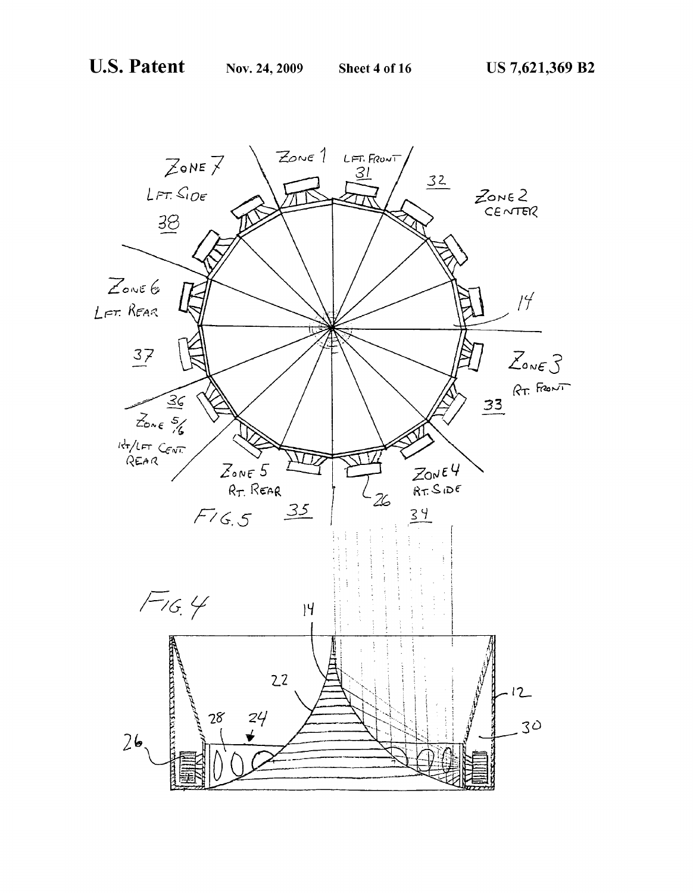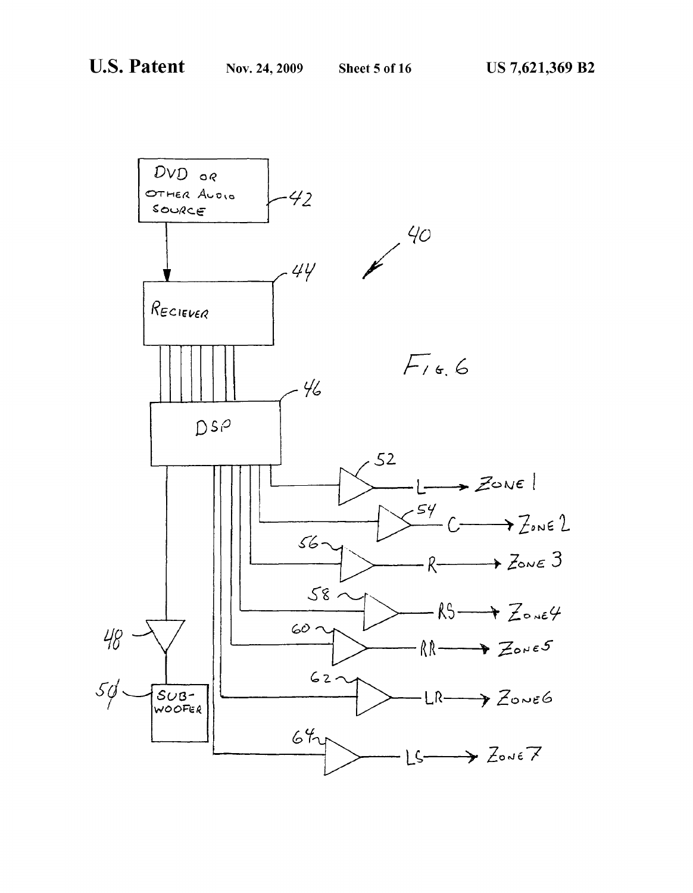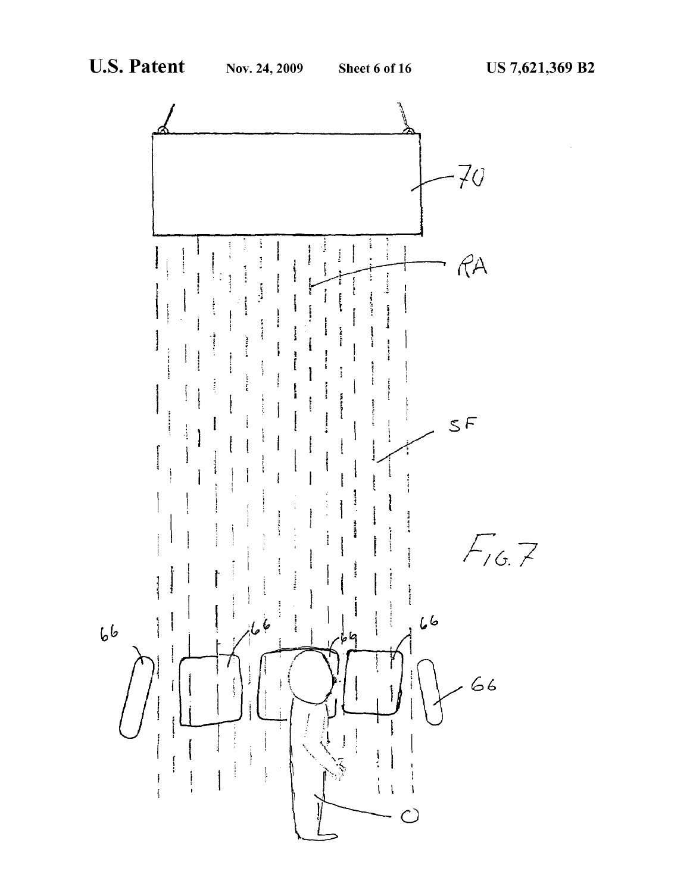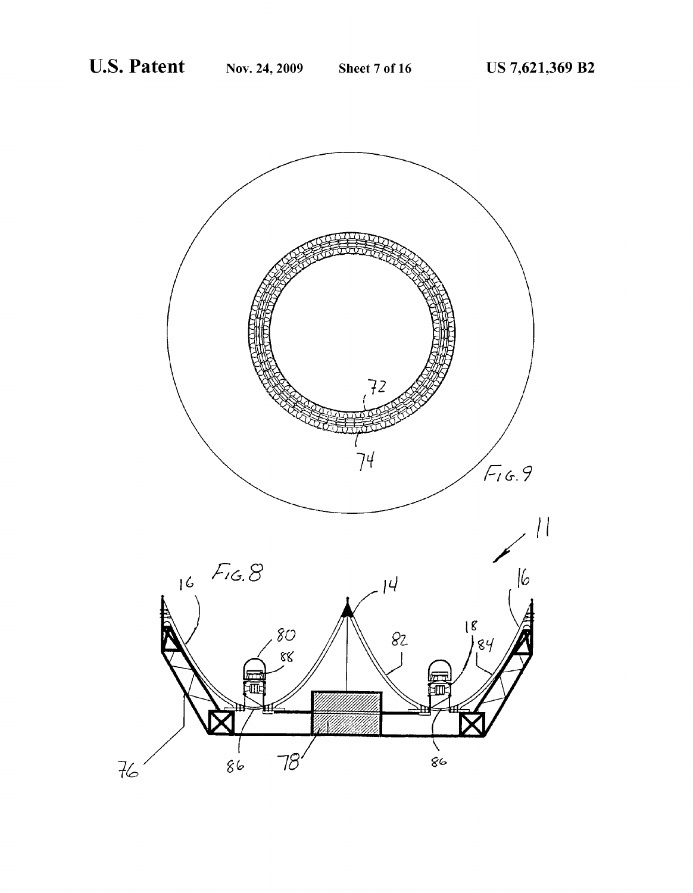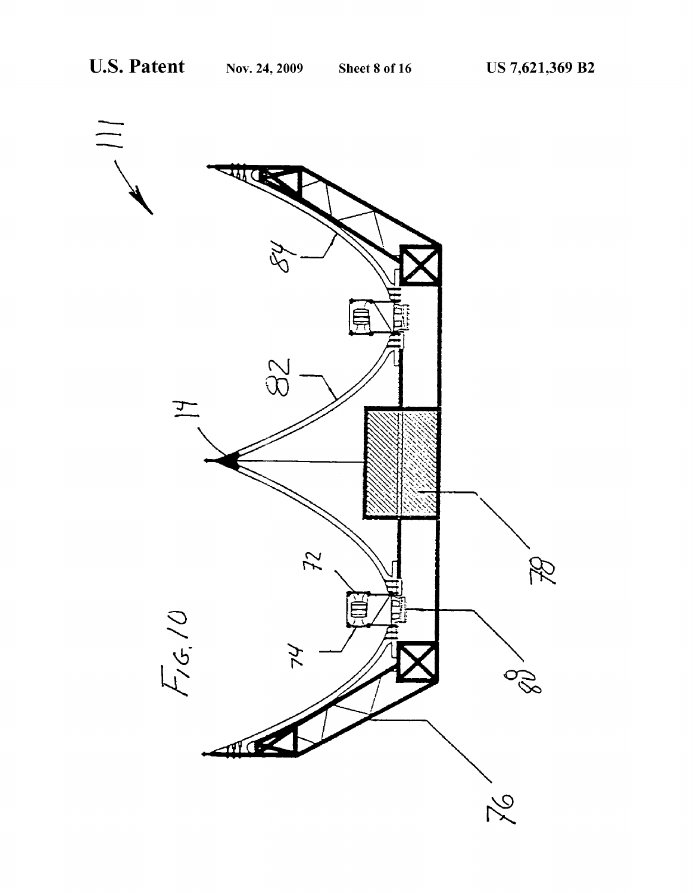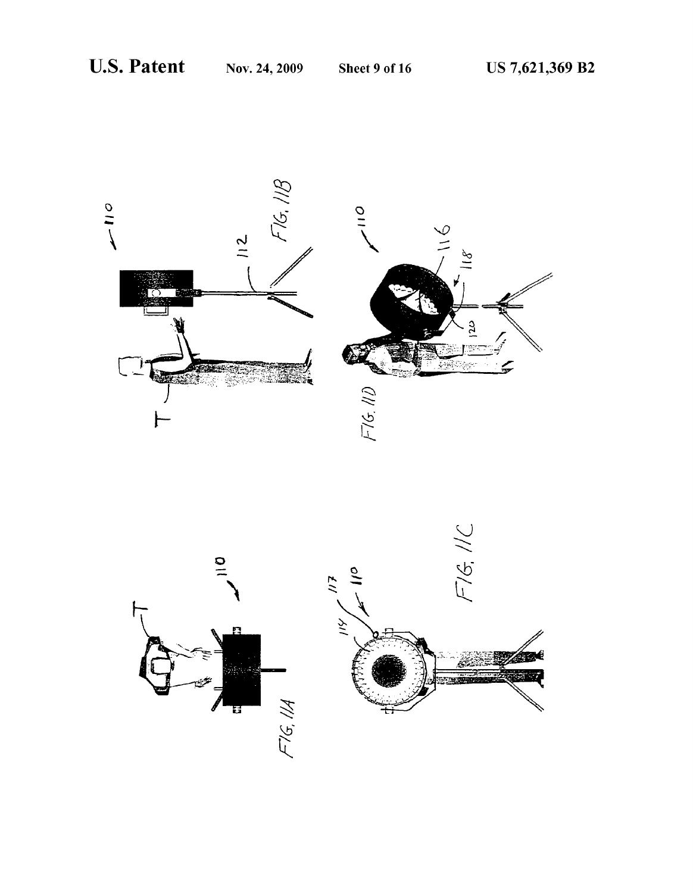

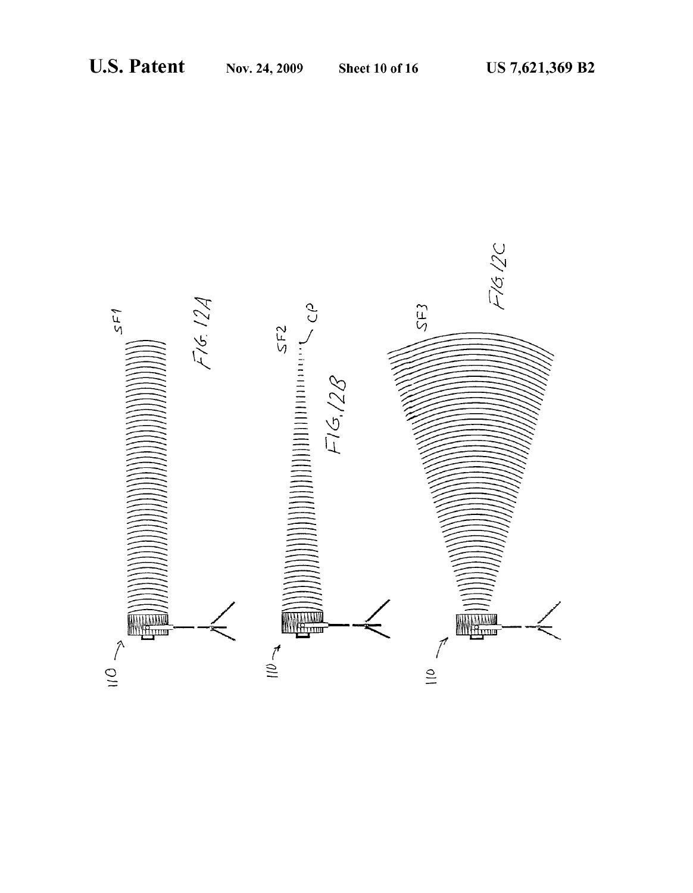

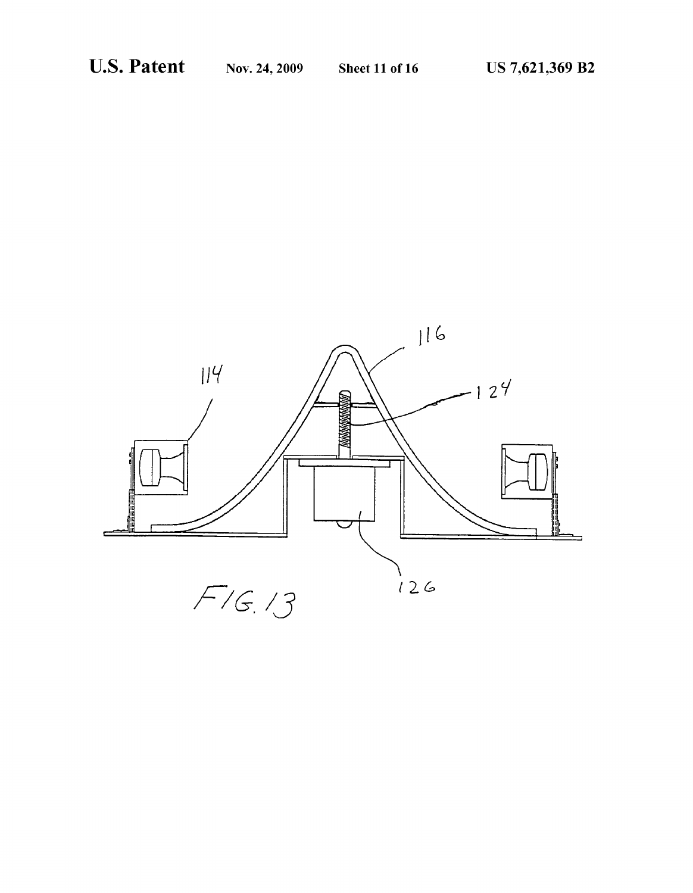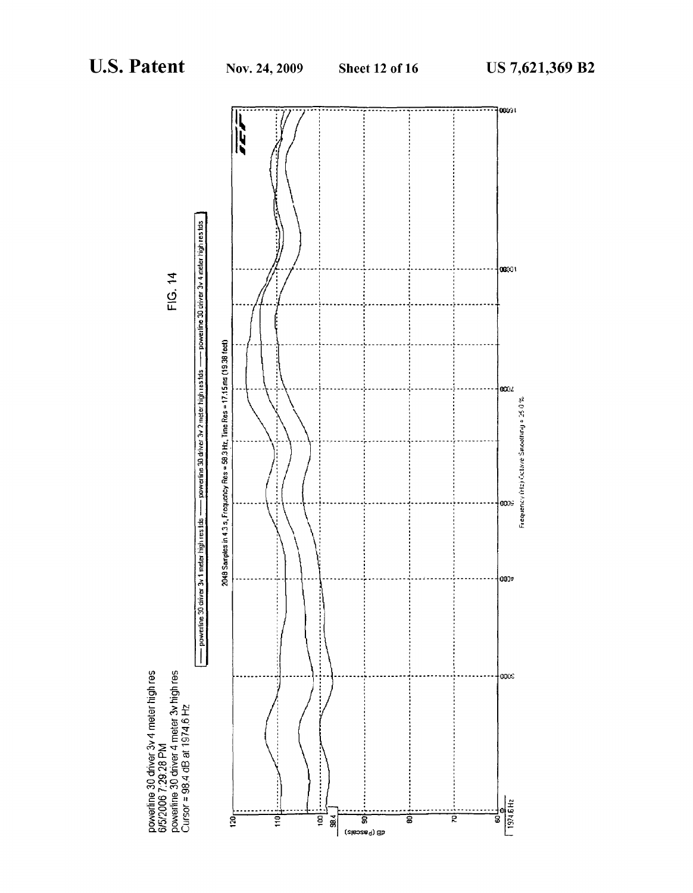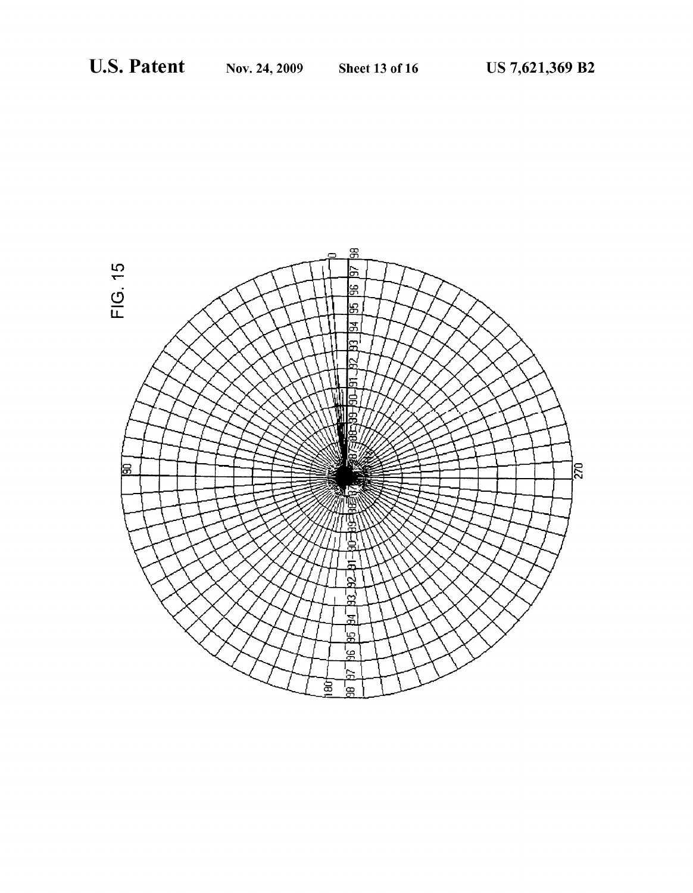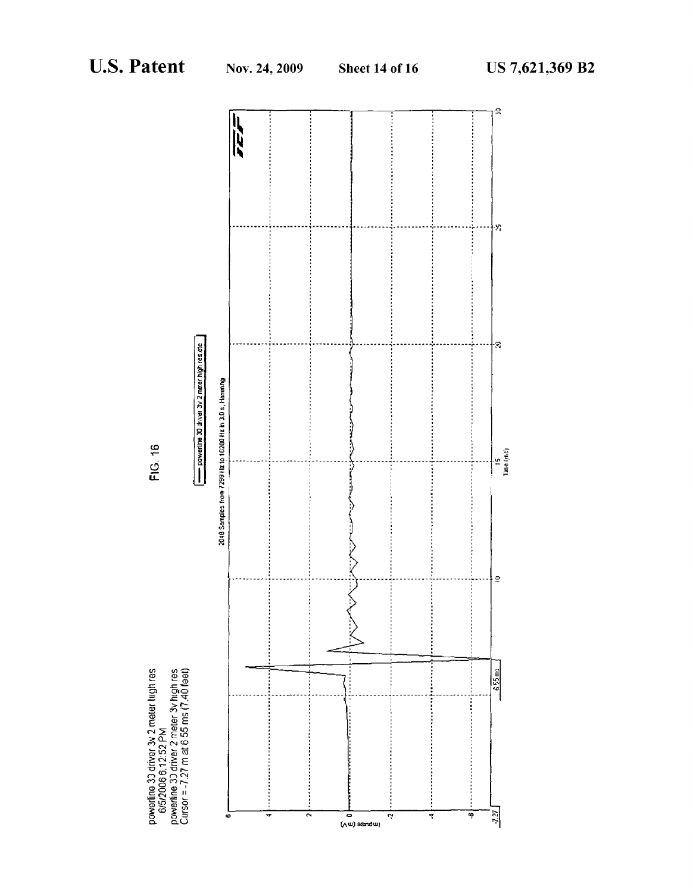

FIG. 16

powertine 30 citver 3v 2 meter high res<br>6/5/2006 6:12:52 PM<br>powertine 30 citver 2 meter 3v high res<br>Cursor = -7:27 m at 6:55 ms (7.40 feet)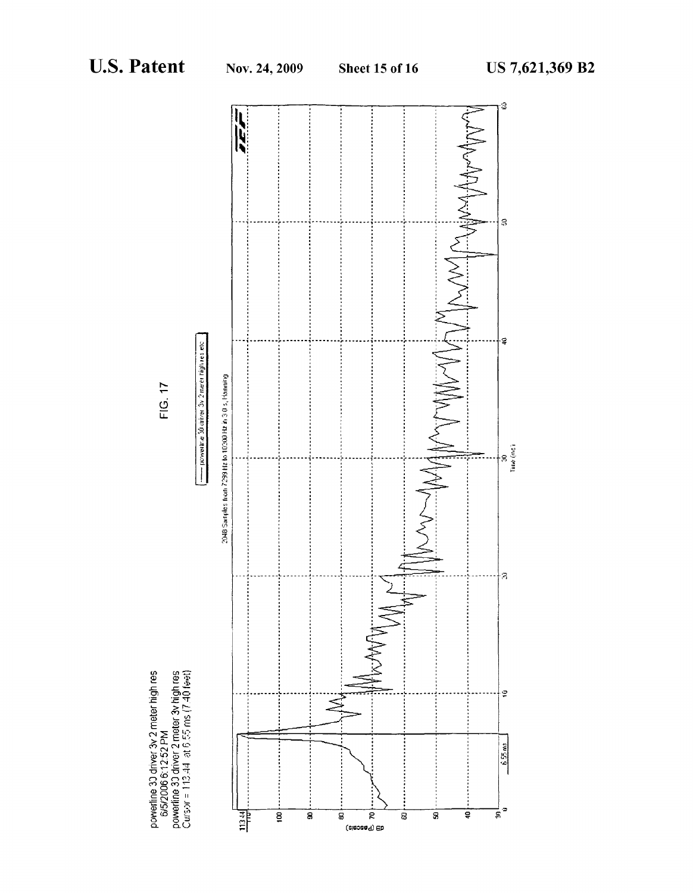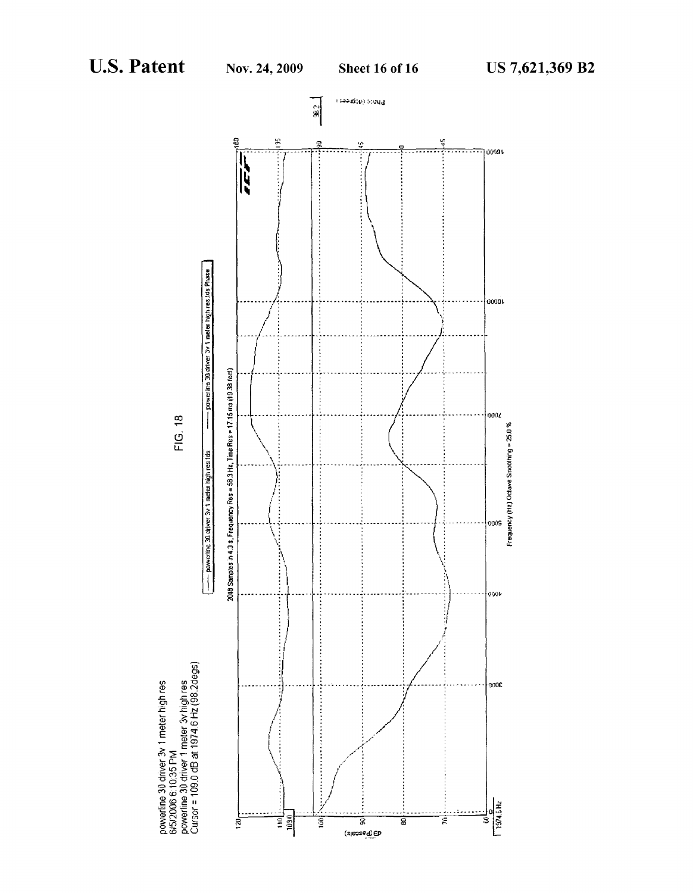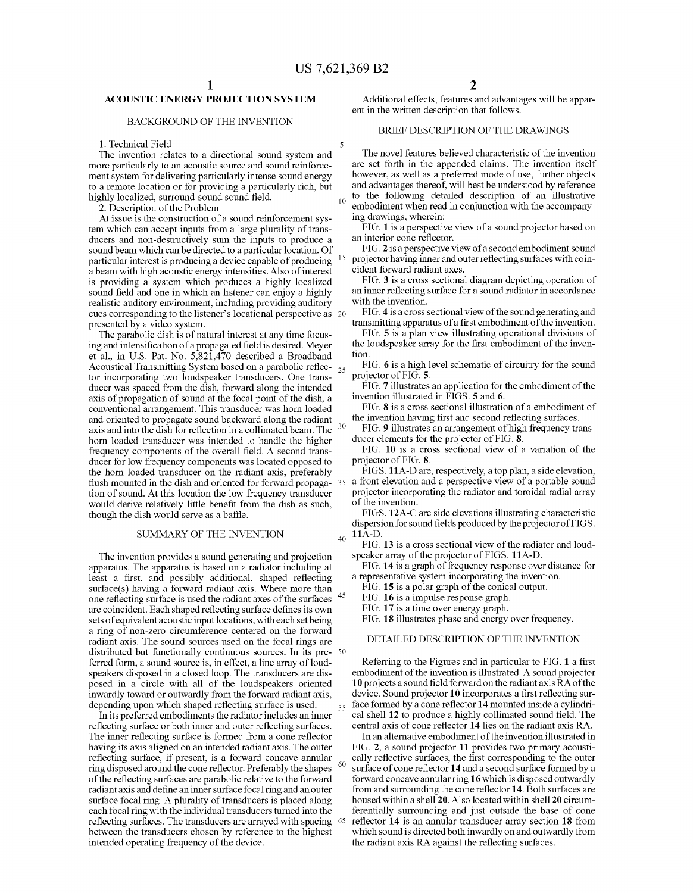$\mathcal{L}_{\mathcal{L}}$ 

10

15

 $40$ 

45

60

### ACOUSTIC ENERGY PROJECTION SYSTEM

#### BACKGROUND OF THE INVENTION

1. Technical Field

The invention relates to a directional sound system and more particularly to an acoustic source and sound reinforcement system for delivering particularly intense sound energy to a remote location or for providing a particularly rich, but highly localized, surround-sound sound field.

2. Description of the Problem<br>At issue is the construction of a sound reinforcement system which can accept inputs from a large plurality of transducers and non-destructively sum the inputs to produce a sound beam which can be directed to a particular location. Of particular interest is producing a device capable of producing a beam with high acoustic energy intensities. Also of interest is providing a system which produces a highly localized sound field and one in which an listener can enjoy a highly realistic auditory environment, including providing auditory cues corresponding to the listener's locational perspective as presented by a video system.

The parabolic dish is of natural interest at any time focus ing and intensification of a propagated field is desired. Meyer et al., in U.S. Pat. No. 5,821,470 described a Broadband Acoustical Transmitting System based on a parabolic reflec tor incorporating two loudspeaker transducers. One trans ducer was spaced from the dish, forward along the intended axis of propagation of Sound at the focal point of the dish, a conventional arrangement. This transducer was horn loaded and oriented to propagate sound backward along the radiant axis and into the dish for reflection in a collimated beam. The frequency components of the overall field. A second transducer for low frequency components was located opposed to the horn loaded transducer on the radiant axis, preferably the horn loaded transducer on the radiant axis, preferably flush mounted in the dish and oriented for forward propaga tion of Sound. At this location the low frequency transducer would derive relatively little benefit from the dish as such, though the dish would serve as a baffle. 25 30

#### SUMMARY OF THE INVENTION

The invention provides a sound generating and projection apparatus. The apparatus is based on a radiator including at least a first, and possibly additional, shaped reflecting surface(s) having a forward radiant axis. Where more than one reflecting Surface is used the radiant axes of the Surfaces are coincident. Each shaped reflecting surface defines its own sets of equivalent acoustic input locations, with each set being a ring of non-Zero circumference centered on the forward radiant axis. The sound sources used on the focal rings are distributed but functionally continuous sources. In its pre- 50 ferred form, a sound source is, in effect, a line array of loudspeakers disposed in a closed loop. The transducers are dis posed in a circle with all of the loudspeakers oriented inwardly toward or outwardly from the forward radiant axis, depending upon which shaped reflecting surface is used. 55

In its preferred embodiments the radiator includes an inner reflecting surface or both inner and outer reflecting surfaces. The inner reflecting surface is formed from a cone reflector having its axis aligned on an intended radiant axis. The outer reflecting surface, if present, is a forward concave annular ring disposed around the cone reflector. Preferably the shapes of the reflecting surfaces are parabolic relative to the forward radiant axis and define an inner Surface focal ring and an outer surface focal ring. A plurality of transducers is placed along each focal ring with the individual transducers turned into the reflecting surfaces. The transducers are arrayed with spacing <sup>65</sup> between the transducers chosen by reference to the highest intended operating frequency of the device.

Additional effects, features and advantages will be appar ent in the written description that follows.

### BRIEF DESCRIPTION OF THE DRAWINGS

The novel features believed characteristic of the invention are set forth in the appended claims. The invention itself however, as well as a preferred mode of use, further objects and advantages thereof, will best be understood by reference to the following detailed description of an illustrative embodiment when read in conjunction with the accompanying drawings, wherein:

FIG. 1 is a perspective view of a sound projector based on an interior cone reflector.

FIG. 2 is a perspective view of a second embodiment sound projector having inner and outer reflecting surfaces with coincident forward radiant axes.

FIG. 3 is a cross sectional diagram depicting operation of an inner reflecting surface for a sound radiator in accordance with the invention.

FIG. 4 is a cross sectional view of the sound generating and transmitting apparatus of a first embodiment of the invention.

FIG. 5 is a plan view illustrating operational divisions of the loudspeaker array for the first embodiment of the inven tion.

FIG. 6 is a high level schematic of circuitry for the sound projector of FIG. 5.

FIG. 7 illustrates an application for the embodiment of the invention illustrated in FIGS. 5 and 6.

FIG. 8 is a cross sectional illustration of a embodiment of the invention having first and second reflecting surfaces.

FIG. 9 illustrates an arrangement of high frequency trans ducer elements for the projector of FIG. 8.

FIG. 10 is a cross sectional view of a variation of the projector of FIG.8.

35 a front elevation and a perspective view of a portable sound FIGS. 11A-Dare, respectively, a top plan, a side elevation, projector incorporating the radiator and toroidal radial array of the invention.

FIGS. 12A-C are side elevations illustrating characteristic dispersion for sound fields produced by the projector of FIGS. 11A-D.

FIG. 13 is a cross sectional view of the radiator and loud speaker array of the projector of FIGS. 11A-D.

FIG. 14 is a graph of frequency response over distance for a representative system incorporating the invention.<br>FIG. 15 is a polar graph of the conical output.

- FIG. 16 is a impulse response graph.
- FIG. 17 is a time over energy graph.

FIG. 18 illustrates phase and energy over frequency.

#### DETAILED DESCRIPTION OF THE INVENTION

Referring to the Figures and in particular to FIG. 1 a first embodiment of the invention is illustrated. A sound projector 10 projects a sound field forward on the radiant axis  $\overline{R}$  of the device. Sound projector 10 incorporates a first reflecting surface formed by a cone reflector 14 mounted inside a cylindrical shell 12 to produce a highly collimated sound field. The central axis of cone reflector 14 lies on the radiant axis R.A.

In an alternative embodiment of the invention illustrated in FIG. 2, a Sound projector 11 provides two primary acousti cally reflective surfaces, the first corresponding to the outer surface of cone reflector 14 and a second surface formed by a forward concave annular ring 16 which is disposed outwardly from and surrounding the cone reflector 14. Both surfaces are housed within a shell 20. Also located within shell 20 circum ferentially surrounding and just outside the base of cone reflector 14 is an annular transducer array section 18 from which sound is directed both inwardly on and outwardly from the radiant axis RA against the reflecting surfaces.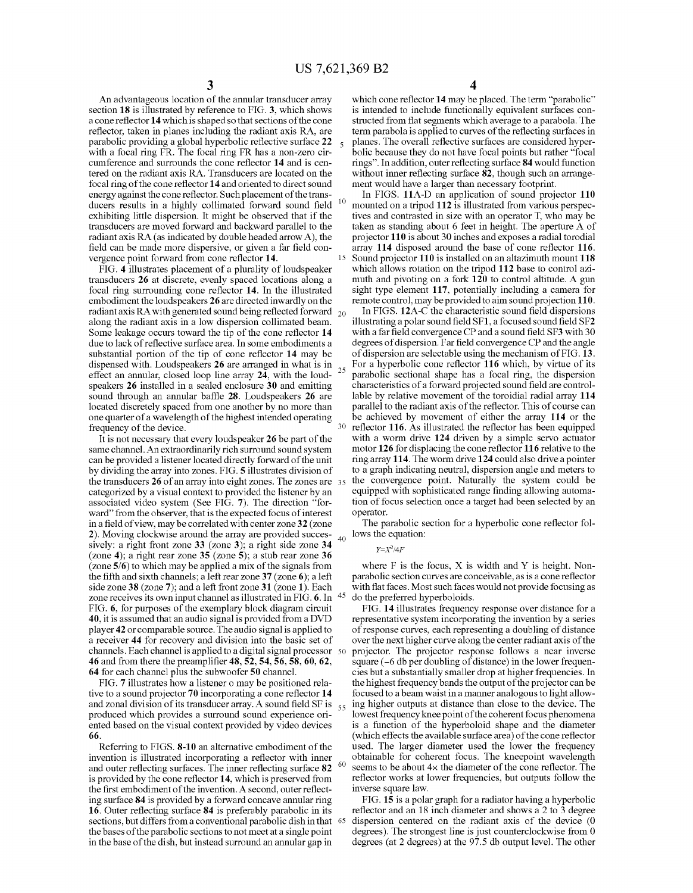10

15

25

30

55

60

An advantageous location of the annular transducer array section 18 is illustrated by reference to FIG. 3, which shows a cone reflector 14 which is shaped so that sections of the cone reflector, taken in planes including the radiant axis RA, are parabolic providing a global hyperbolic reflective surface 22 with a focal ring FR. The focal ring FR has a non-zero circumference and surrounds the cone reflector 14 and is centered on the radiant axis RA. Transducers are located on the focal ring of the cone reflector 14 and oriented to direct sound energy against the cone reflector. Such placement of the trans ducers results in a highly collimated forward sound field exhibiting little dispersion. It might be observed that if the transducers are moved forward and backward parallel to the radiant axis RA (as indicated by double headed arrow A), the field can be made more dispersive, or given a far field con vergence point forward from cone reflector 14.

FIG. 4 illustrates placement of a plurality of loudspeaker transducers 26 at discrete, evenly spaced locations along a focal ring surrounding cone reflector 14. In the illustrated embodiment the loudspeakers 26 are directed inwardly on the radiant axis RA with generated sound being reflected forward 20 along the radiant axis in a low dispersion collimated beam. Some leakage occurs toward the tip of the cone reflector 14 due to lack of reflective surface area. In some embodiments a substantial portion of the tip of cone reflector 14 may be dispensed with. Loudspeakers 26 are arranged in what is in effect an annular, closed loop line array 24, with the loud-speakers 26 installed in a sealed enclosure 30 and emitting sound through an annular baffle 28. Loudspeakers 26 are located discretely spaced from one another by no more than one quarter of a wavelength of the highest intended operating frequency of the device.

It is not necessary that every loudspeaker 26 be part of the same channel. An extraordinarily rich surround sound system can be provided a listener located directly forward of the unit by dividing the array into Zones. FIG. 5 illustrates division of the transducers 26 of an array into eight Zones. The Zones are 35 categorized by a visual context to provided the listener by an associated video system (See FIG. 7). The direction "for ward" from the observer, that is the expected focus of interest<br>in a field of view, may be correlated with center zone 32 (zone 2). Moving clockwise around the array are provided successively: a right front zone 33 (zone 3); a right side zone 34 (Zone 4); a right rear Zone 35 (Zone 5); a stub rear Zone 36 (Zone 5/6) to which may be applied a mix of the signals from the fifth and sixth channels; a left rear zone  $37$  (zone 6); a left side zone 38 (zone 7); and a left front zone 31 (zone 1). Each Zone receives its own input channel as illustrated in FIG. 6. In FIG. 6, for purposes of the exemplary block diagram circuit 40, it is assumed that an audio signal is provided from a DVD player 42 or comparable source. The audio signal is applied to a receiver 44 for recovery and division into the basic set of channels. Each channel is applied to a digital signal processor 50 46 and from there the preamplifier 48, 52,54, 56,58, 60, 62. 64 for each channel plus the subwoofer 50 channel. 40 45

FIG. 7 illustrates how a listener o may be positioned relative to a sound projector 70 incorporating a cone reflector 14 and Zonal division of its transducer array. A sound field SF is produced which provides a Surround sound experience ori ented based on the visual context provided by video devices 66.

Referring to FIGS. 8-10 an alternative embodiment of the invention is illustrated incorporating a reflector with inner and outer reflecting surfaces. The inner reflecting surface 82 is provided by the cone reflector 14, which is preserved from the first embodiment of the invention. A second, outer reflecting surface 84 is provided by a forward concave annular ring 16. Outer reflecting surface 84 is preferably parabolic in its sections, but differs from a conventional parabolic dish in that 65 the bases of the parabolic sections to not meet at a single point in the base of the dish, but instead Surround an annular gap in

4

which cone reflector 14 may be placed. The term "parabolic" is intended to include functionally equivalent surfaces constructed from flat segments which average to a parabola. The term parabola is applied to curves of the reflecting surfaces in planes. The overall reflective surfaces are considered hyperbolic because they do not have focal points but rather "focal rings'. In addition, outer reflecting surface 84 would function without inner reflecting surface 82, though such an arrangement would have a larger than necessary footprint.

In FIGS. 11A-D an application of sound projector 110 mounted on a tripod 112 is illustrated from various perspectives and contrasted in size with an operator T, who may be taken as standing about 6 feet in height. The aperture A of projector 110 is about 30 inches and exposes a radial torodial array 114 disposed around the base of cone reflector 116. Sound projector 110 is installed on an altazimuth mount 118 which allows rotation on the tripod 112 base to control azimuth and pivoting on a fork 120 to control altitude. A gun sight type element 117, potentially including a camera for

remote control, may be provided to aim sound projection 110.<br>In FIGS. 12A-C the characteristic sound field dispersions illustrating a polar sound field SF1, a focused sound field SF2 with a far field convergence CP and a sound field SF3 with 30 degrees of dispersion. Far field convergence CP and the angle of dispersion are selectable using the mechanism of FIG. 13. For a hyperbolic cone reflector 116 which, by virtue of its parabolic sectional shape has a focal ring, the dispersion characteristics of a forward projected sound field are control lable by relative movement of the toroidial radial array 114 parallel to the radiant axis of the reflector. This of course can be achieved by movement of either the array 114 or the reflector 116. As illustrated the reflector has been equipped with a worm drive 124 driven by a simple servo actuator motor 126 for displacing the cone reflector 116 relative to the ring array 114. The worm drive 124 could also drive a pointer to a graph indicating neutral, dispersion angle and meters to the convergence point. Naturally the system could be equipped with sophisticated range finding allowing automation of focus selection once a target had been selected by an operator.

The parabolic section for a hyperbolic cone reflector fol lows the equation:

#### $Y = X^2/4F$

where F is the focus, X is width and Y is height. Non parabolic section curves are conceivable, as is a cone reflector with flat faces. Most such faces would not provide focusing as do the preferred hyperboloids.

FIG. 14 illustrates frequency response over distance for a representative system incorporating the invention by a series of response curves, each representing a doubling of distance over the next higher curve along the center radiant axis of the projector. The projector response follows a near inverse cies but a substantially smaller drop at higher frequencies. In the highest frequency bands the output of the projector can be focused to a beam waist in a manner analogous to light allow ing higher outputs at distance than close to the device. The lowest frequency knee point of the coherent focus phenomena is a function of the hyperboloid shape and the diameter (which effects the available surface area) of the cone reflector obtainable for coherent focus. The kneepoint wavelength seems to be about  $4 \times$  the diameter of the cone reflector. The reflector works at lower frequencies, but outputs follow the inverse square law.

FIG. 15 is a polar graph for a radiator having a hyperbolic reflector and an 18 inch diameter and shows a 2 to 3 degree dispersion centered on the radiant axis of the device (0 degrees). The strongest line is just counterclockwise from 0 degrees (at 2 degrees) at the 97.5 db output level. The other